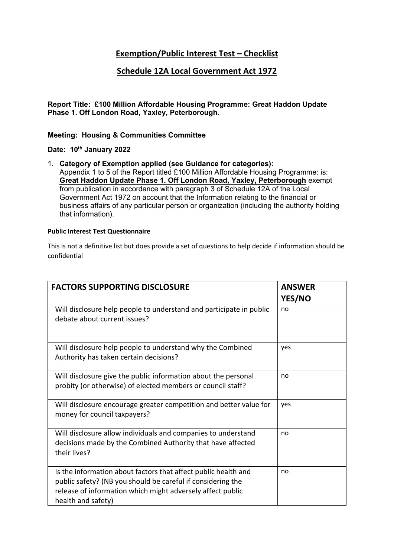# **Exemption/Public Interest Test – Checklist**

## **Schedule 12A Local Government Act 1972**

**Report Title: £100 Million Affordable Housing Programme: Great Haddon Update Phase 1. Off London Road, Yaxley, Peterborough.** 

**Meeting: Housing & Communities Committee** 

**Date: 10th January 2022** 

1. **Category of Exemption applied (see Guidance for categories):** Appendix 1 to 5 of the Report titled £100 Million Affordable Housing Programme: is: **Great Haddon Update Phase 1. Off London Road, Yaxley, Peterborough** exempt from publication in accordance with paragraph 3 of Schedule 12A of the Local Government Act 1972 on account that the Information relating to the financial or business affairs of any particular person or organization (including the authority holding that information).

#### **Public Interest Test Questionnaire**

This is not a definitive list but does provide a set of questions to help decide if information should be confidential

| <b>FACTORS SUPPORTING DISCLOSURE</b>                                                                                                                                                                              | <b>ANSWER</b><br><b>YES/NO</b> |
|-------------------------------------------------------------------------------------------------------------------------------------------------------------------------------------------------------------------|--------------------------------|
| Will disclosure help people to understand and participate in public<br>debate about current issues?                                                                                                               | no                             |
| Will disclosure help people to understand why the Combined<br>Authority has taken certain decisions?                                                                                                              | yes                            |
| Will disclosure give the public information about the personal<br>probity (or otherwise) of elected members or council staff?                                                                                     | no                             |
| Will disclosure encourage greater competition and better value for<br>money for council taxpayers?                                                                                                                | yes                            |
| Will disclosure allow individuals and companies to understand<br>decisions made by the Combined Authority that have affected<br>their lives?                                                                      | no                             |
| Is the information about factors that affect public health and<br>public safety? (NB you should be careful if considering the<br>release of information which might adversely affect public<br>health and safety) | no                             |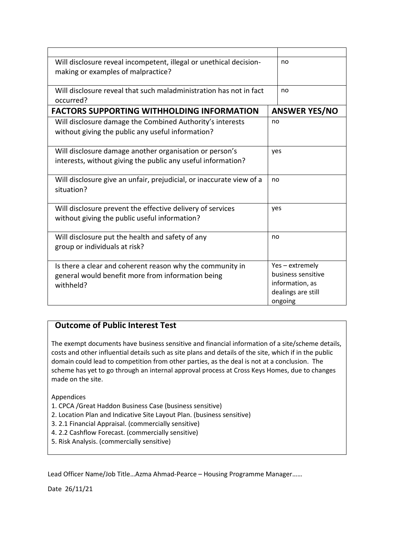| Will disclosure reveal incompetent, illegal or unethical decision-                                             |     | no                                    |
|----------------------------------------------------------------------------------------------------------------|-----|---------------------------------------|
| making or examples of malpractice?                                                                             |     |                                       |
|                                                                                                                |     |                                       |
| Will disclosure reveal that such maladministration has not in fact                                             |     | no                                    |
| occurred?                                                                                                      |     |                                       |
| <b>FACTORS SUPPORTING WITHHOLDING INFORMATION</b>                                                              |     | <b>ANSWER YES/NO</b>                  |
| Will disclosure damage the Combined Authority's interests                                                      | no  |                                       |
| without giving the public any useful information?                                                              |     |                                       |
|                                                                                                                |     |                                       |
| Will disclosure damage another organisation or person's                                                        | yes |                                       |
| interests, without giving the public any useful information?                                                   |     |                                       |
|                                                                                                                |     |                                       |
| Will disclosure give an unfair, prejudicial, or inaccurate view of a                                           | no  |                                       |
| situation?                                                                                                     |     |                                       |
|                                                                                                                |     |                                       |
| Will disclosure prevent the effective delivery of services                                                     | yes |                                       |
| without giving the public useful information?                                                                  |     |                                       |
|                                                                                                                |     |                                       |
| Will disclosure put the health and safety of any                                                               | no  |                                       |
| group or individuals at risk?                                                                                  |     |                                       |
|                                                                                                                |     |                                       |
| Is there a clear and coherent reason why the community in<br>general would benefit more from information being |     | Yes - extremely<br>business sensitive |
|                                                                                                                |     | information, as                       |
| withheld?                                                                                                      |     | dealings are still                    |
|                                                                                                                |     | ongoing                               |
|                                                                                                                |     |                                       |

## **Outcome of Public Interest Test**

The exempt documents have business sensitive and financial information of a site/scheme details, costs and other influential details such as site plans and details of the site, which if in the public domain could lead to competition from other parties, as the deal is not at a conclusion. The scheme has yet to go through an internal approval process at Cross Keys Homes, due to changes made on the site.

### Appendices

- 1. CPCA /Great Haddon Business Case (business sensitive)
- 2. Location Plan and Indicative Site Layout Plan. (business sensitive)
- 3. 2.1 Financial Appraisal. (commercially sensitive)
- 4. 2.2 Cashflow Forecast. (commercially sensitive)
- 5. Risk Analysis. (commercially sensitive)

Lead Officer Name/Job Title…Azma Ahmad-Pearce – Housing Programme Manager……

Date 26/11/21